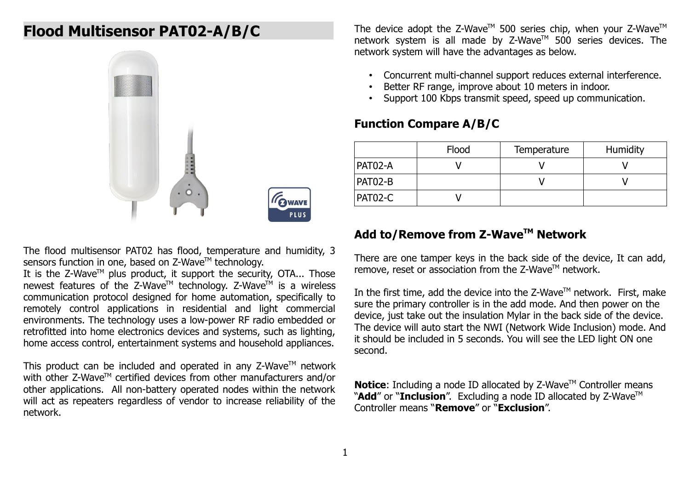# **Flood Multisensor PAT02-A/B/C**



The flood multisensor PAT02 has flood, temperature and humidity, 3 sensors function in one, based on Z-Wave™ technology.

It is the  $Z$ -Wave<sup>TM</sup> plus product, it support the security, OTA... Those newest features of the Z-Wave<sup>TM</sup> technology. Z-Wave<sup>TM</sup> is a wireless communication protocol designed for home automation, specifically to remotely control applications in residential and light commercial environments. The technology uses a low-power RF radio embedded or retrofitted into home electronics devices and systems, such as lighting, home access control, entertainment systems and household appliances.

This product can be included and operated in any  $Z$ -Wave<sup>TM</sup> network with other Z-Wave™ certified devices from other manufacturers and/or other applications. All non-battery operated nodes within the network will act as repeaters regardless of vendor to increase reliability of the network.

The device adopt the Z-Wave<sup>TM</sup> 500 series chip, when your Z-Wave<sup>TM</sup> network system is all made by Z-Wave™ 500 series devices. The network system will have the advantages as below.

- Concurrent multi-channel support reduces external interference.
- Better RF range, improve about 10 meters in indoor.
- Support 100 Kbps transmit speed, speed up communication.

## **Function Compare A/B/C**

|         | Flood | Temperature | Humidity |
|---------|-------|-------------|----------|
| PAT02-A |       |             |          |
| PAT02-B |       |             |          |
| PAT02-C |       |             |          |

# **Add to/Remove from Z-WaveTM Network**

There are one tamper keys in the back side of the device, It can add, remove, reset or association from the  $Z$ -Wave<sup>TM</sup> network.

In the first time, add the device into the Z-Wave<sup>TM</sup> network. First, make sure the primary controller is in the add mode. And then power on the device, just take out the insulation Mylar in the back side of the device. The device will auto start the NWI (Network Wide Inclusion) mode. And it should be included in 5 seconds. You will see the LED light ON one second.

**Notice:** Including a node ID allocated by Z-Wave™ Controller means "Add" or "Inclusion". Excluding a node ID allocated by Z-Wave<sup>™</sup> Controller means "**Remove**" or "**Exclusion**".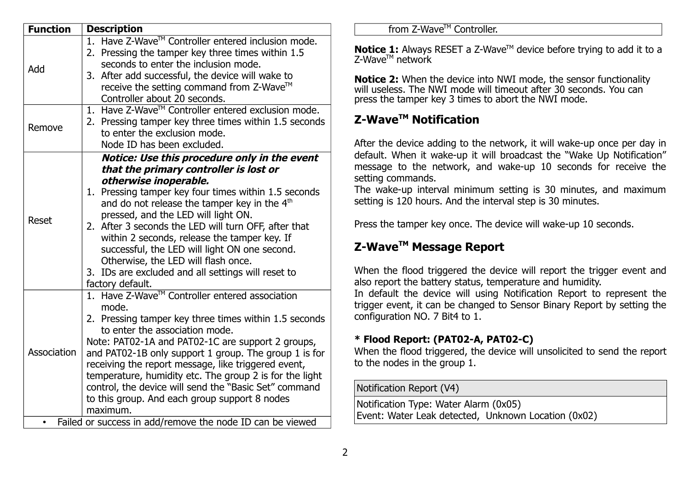| <b>Function</b>                                           | <b>Description</b>                                                                                                                                                                                                                                                                                                                                                                                                                                                                                                                                   |  |  |  |  |  |
|-----------------------------------------------------------|------------------------------------------------------------------------------------------------------------------------------------------------------------------------------------------------------------------------------------------------------------------------------------------------------------------------------------------------------------------------------------------------------------------------------------------------------------------------------------------------------------------------------------------------------|--|--|--|--|--|
| Add                                                       | 1. Have Z-Wave™ Controller entered inclusion mode.<br>2. Pressing the tamper key three times within 1.5<br>seconds to enter the inclusion mode.<br>3. After add successful, the device will wake to<br>receive the setting command from Z-Wave™<br>Controller about 20 seconds.                                                                                                                                                                                                                                                                      |  |  |  |  |  |
| Remove                                                    | 1. Have Z-Wave™ Controller entered exclusion mode.<br>2. Pressing tamper key three times within 1.5 seconds<br>to enter the exclusion mode.<br>Node ID has been excluded.                                                                                                                                                                                                                                                                                                                                                                            |  |  |  |  |  |
| <b>Reset</b>                                              | Notice: Use this procedure only in the event<br>that the primary controller is lost or<br>otherwise inoperable.<br>1. Pressing tamper key four times within 1.5 seconds<br>and do not release the tamper key in the 4 <sup>th</sup><br>pressed, and the LED will light ON.<br>2. After 3 seconds the LED will turn OFF, after that<br>within 2 seconds, release the tamper key. If<br>successful, the LED will light ON one second.<br>Otherwise, the LED will flash once.<br>3. IDs are excluded and all settings will reset to<br>factory default. |  |  |  |  |  |
| Association                                               | 1. Have Z-Wave™ Controller entered association<br>mode.<br>2. Pressing tamper key three times within 1.5 seconds<br>to enter the association mode.<br>Note: PAT02-1A and PAT02-1C are support 2 groups,<br>and PAT02-1B only support 1 group. The group 1 is for<br>receiving the report message, like triggered event,<br>temperature, humidity etc. The group 2 is for the light<br>control, the device will send the "Basic Set" command<br>to this group. And each group support 8 nodes<br>maximum.                                             |  |  |  |  |  |
| Failed or success in add/remove the node ID can be viewed |                                                                                                                                                                                                                                                                                                                                                                                                                                                                                                                                                      |  |  |  |  |  |

#### from Z-Wave™ Controller.

**Notice 1:** Always RESET a Z-Wave™ device before trying to add it to a  $Z-WaVe^{TM}$  network

**Notice 2:** When the device into NWI mode, the sensor functionality will useless. The NWI mode will timeout after 30 seconds. You can press the tamper key 3 times to abort the NWI mode.

# **Z-WaveTM Notification**

After the device adding to the network, it will wake-up once per day in default. When it wake-up it will broadcast the "Wake Up Notification" message to the network, and wake-up 10 seconds for receive the setting commands.

The wake-up interval minimum setting is 30 minutes, and maximum setting is 120 hours. And the interval step is 30 minutes.

Press the tamper key once. The device will wake-up 10 seconds.

# **Z-WaveTM Message Report**

When the flood triggered the device will report the trigger event and also report the battery status, temperature and humidity.

In default the device will using Notification Report to represent the trigger event, it can be changed to Sensor Binary Report by setting the configuration NO. 7 Bit4 to 1.

## **\* Flood Report: (PAT02-A, PAT02-C)**

When the flood triggered, the device will unsolicited to send the report to the nodes in the group 1.

Notification Report (V4)

| Notification Type: Water Alarm (0x05)               |  |
|-----------------------------------------------------|--|
| Event: Water Leak detected, Unknown Location (0x02) |  |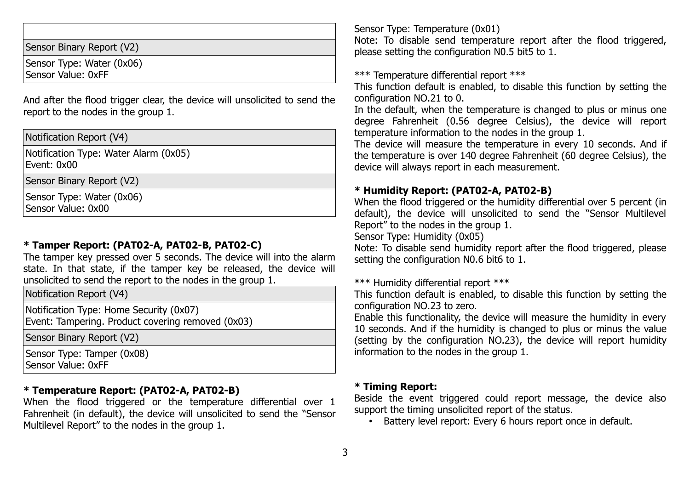| Sensor Binary Report (V2)                       |  |
|-------------------------------------------------|--|
| Sensor Type: Water (0x06)<br>Sensor Value: 0xFF |  |

And after the flood trigger clear, the device will unsolicited to send the report to the nodes in the group 1.

Notification Report (V4)

Notification Type: Water Alarm (0x05) Event: 0x00

Sensor Binary Report (V2)

Sensor Type: Water (0x06) Sensor Value: 0x00

### **\* Tamper Report: (PAT02-A, PAT02-B, PAT02-C)**

The tamper key pressed over 5 seconds. The device will into the alarm state. In that state, if the tamper key be released, the device will unsolicited to send the report to the nodes in the group 1.

Notification Report (V4)

Notification Type: Home Security (0x07) Event: Tampering. Product covering removed (0x03)

Sensor Binary Report (V2)

Sensor Type: Tamper (0x08) Sensor Value: 0xFF

## **\* Temperature Report: (PAT02-A, PAT02-B)**

When the flood triggered or the temperature differential over 1 Fahrenheit (in default), the device will unsolicited to send the "Sensor Multilevel Report" to the nodes in the group 1.

Sensor Type: Temperature (0x01)

Note: To disable send temperature report after the flood triggered, please setting the configuration N0.5 bit5 to 1.

\*\*\* Temperature differential report \*\*\*

This function default is enabled, to disable this function by setting the configuration NO.21 to 0.

In the default, when the temperature is changed to plus or minus one degree Fahrenheit (0.56 degree Celsius), the device will report temperature information to the nodes in the group 1.

The device will measure the temperature in every 10 seconds. And if the temperature is over 140 degree Fahrenheit (60 degree Celsius), the device will always report in each measurement.

#### **\* Humidity Report: (PAT02-A, PAT02-B)**

When the flood triggered or the humidity differential over 5 percent (in default), the device will unsolicited to send the "Sensor Multilevel Report" to the nodes in the group 1.

Sensor Type: Humidity (0x05)

Note: To disable send humidity report after the flood triggered, please setting the configuration N0.6 bit6 to 1.

\*\*\* Humidity differential report \*\*\*

This function default is enabled, to disable this function by setting the configuration NO.23 to zero.

Enable this functionality, the device will measure the humidity in every 10 seconds. And if the humidity is changed to plus or minus the value (setting by the configuration NO.23), the device will report humidity information to the nodes in the group 1.

#### **\* Timing Report:**

Beside the event triggered could report message, the device also support the timing unsolicited report of the status.

• Battery level report: Every 6 hours report once in default.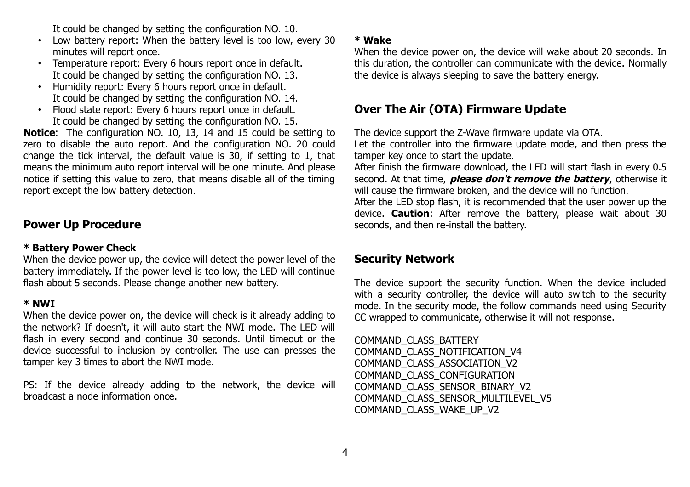It could be changed by setting the configuration NO. 10.

- Low battery report: When the battery level is too low, every 30 minutes will report once.
- Temperature report: Every 6 hours report once in default. It could be changed by setting the configuration NO. 13.
- Humidity report: Every 6 hours report once in default. It could be changed by setting the configuration NO. 14.
- Flood state report: Every 6 hours report once in default. It could be changed by setting the configuration NO. 15.

**Notice**: The configuration NO. 10, 13, 14 and 15 could be setting to zero to disable the auto report. And the configuration NO. 20 could change the tick interval, the default value is 30, if setting to 1, that means the minimum auto report interval will be one minute. And please notice if setting this value to zero, that means disable all of the timing report except the low battery detection.

# **Power Up Procedure**

#### **\* Battery Power Check**

When the device power up, the device will detect the power level of the battery immediately. If the power level is too low, the LED will continue flash about 5 seconds. Please change another new battery.

#### **\* NWI**

When the device power on, the device will check is it already adding to the network? If doesn't, it will auto start the NWI mode. The LED will flash in every second and continue 30 seconds. Until timeout or the device successful to inclusion by controller. The use can presses the tamper key 3 times to abort the NWI mode.

PS: If the device already adding to the network, the device will broadcast a node information once.

#### **\* Wake**

When the device power on, the device will wake about 20 seconds. In this duration, the controller can communicate with the device. Normally the device is always sleeping to save the battery energy.

# **Over The Air (OTA) Firmware Update**

The device support the Z-Wave firmware update via OTA.

Let the controller into the firmware update mode, and then press the tamper key once to start the update.

After finish the firmware download, the LED will start flash in every 0.5 second. At that time, **please don't remove the battery**, otherwise it will cause the firmware broken, and the device will no function.

After the LED stop flash, it is recommended that the user power up the device. **Caution**: After remove the battery, please wait about 30 seconds, and then re-install the battery.

# **Security Network**

The device support the security function. When the device included with a security controller, the device will auto switch to the security mode. In the security mode, the follow commands need using Security CC wrapped to communicate, otherwise it will not response.

COMMAND\_CLASS\_BATTERY COMMAND\_CLASS\_NOTIFICATION\_V4 COMMAND\_CLASS\_ASSOCIATION\_V2 COMMAND\_CLASS\_CONFIGURATION COMMAND\_CLASS\_SENSOR\_BINARY\_V2 COMMAND\_CLASS\_SENSOR\_MULTILEVEL\_V5 COMMAND\_CLASS\_WAKE\_UP\_V2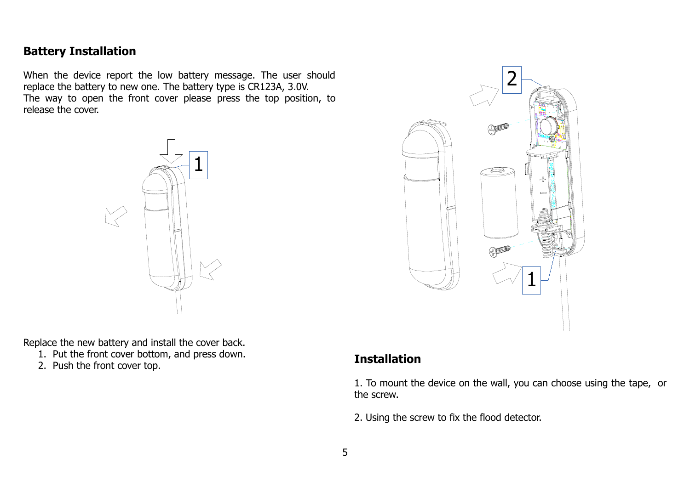# **Battery Installation**

When the device report the low battery message. The user should replace the battery to new one. The battery type is CR123A, 3.0V. The way to open the front cover please press the top position, to release the cover.



Replace the new battery and install the cover back.

- 1. Put the front cover bottom, and press down. 1. Put the front cover bottom, and press down.<br>2. Push the front cover top.
- 



1. To mount the device on the wall, you can choose using the tape, or the screw.

2. Using the screw to fix the flood detector.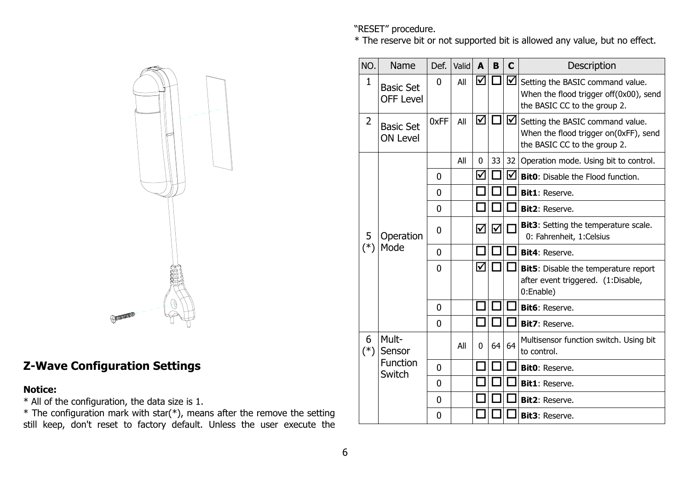"RESET" procedure.

\* The reserve bit or not supported bit is allowed any value, but no effect.





# **Z-Wave Configuration Settings**

#### **Notice:**

\* All of the configuration, the data size is 1.

 $*$  The configuration mark with star( $*$ ), means after the remove the setting still keep, don't reset to factory default. Unless the user execute the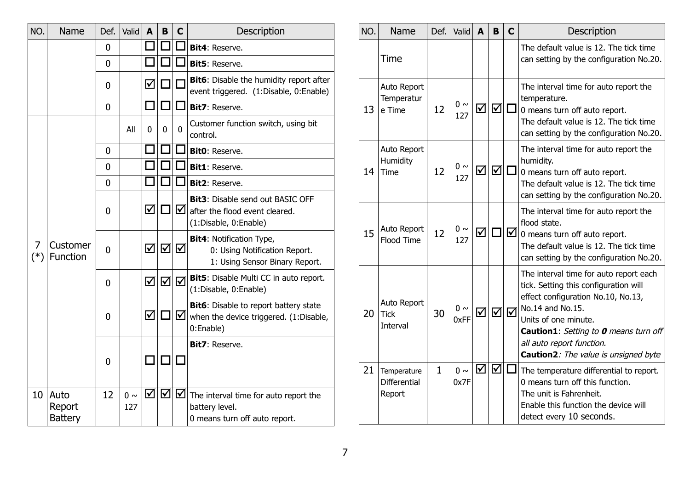| NO.        | Name                             | Def.           | Valid           | A  | B | C | Description                                                                                        |
|------------|----------------------------------|----------------|-----------------|----|---|---|----------------------------------------------------------------------------------------------------|
|            |                                  | 0              |                 |    |   |   | Bit4: Reserve.                                                                                     |
|            |                                  | $\overline{0}$ |                 |    |   |   | Bit5: Reserve.                                                                                     |
|            |                                  | 0              |                 | ☑  |   |   | Bit6: Disable the humidity report after<br>event triggered. (1:Disable, 0:Enable)                  |
|            |                                  | $\overline{0}$ |                 |    |   |   | Bit7: Reserve.                                                                                     |
|            |                                  |                | All             | O  | 0 | 0 | Customer function switch, using bit<br>control.                                                    |
|            |                                  | 0              |                 |    |   |   | Bit0: Reserve.                                                                                     |
|            |                                  | 0              |                 |    |   |   | Bit1: Reserve.                                                                                     |
|            |                                  | 0              |                 |    |   |   | Bit2: Reserve.                                                                                     |
| 7<br>$(*)$ |                                  | 0              |                 | ☑  |   | ☑ | <b>Bit3:</b> Disable send out BASIC OFF<br>after the flood event cleared.<br>(1:Disable, 0:Enable) |
|            | Customer<br>Function             | $\overline{0}$ |                 | ☑  | ☑ | ☑ | <b>Bit4: Notification Type,</b><br>0: Using Notification Report.<br>1: Using Sensor Binary Report. |
|            |                                  | 0              |                 | ☑  | ☑ | ☑ | Bit5: Disable Multi CC in auto report.<br>(1:Disable, 0:Enable)                                    |
|            |                                  | 0              |                 | ☑  |   | ☑ | Bit6: Disable to report battery state<br>when the device triggered. (1:Disable,<br>0:Enable)       |
|            |                                  | 0              |                 | I. |   |   | Bit7: Reserve.                                                                                     |
| 10         | Auto<br>Report<br><b>Battery</b> | 12             | $0 \sim$<br>127 | ☑  | ☑ | ☑ | The interval time for auto report the<br>battery level.<br>0 means turn off auto report.           |

| NO. | Name                                          | Def.         | Valid            | A                    | B                           | $\mathbf C$ | Description                                                                                                                                                                                                                                                                                   |
|-----|-----------------------------------------------|--------------|------------------|----------------------|-----------------------------|-------------|-----------------------------------------------------------------------------------------------------------------------------------------------------------------------------------------------------------------------------------------------------------------------------------------------|
|     | Time                                          |              |                  |                      |                             |             | The default value is 12. The tick time<br>can setting by the configuration No.20.                                                                                                                                                                                                             |
| 13  | Auto Report<br>Temperatur<br>e Time           | 12           | $0\sim$<br>127   | ☑                    | $\vert \triangledown \vert$ | $\Box$      | The interval time for auto report the<br>temperature.<br>0 means turn off auto report.<br>The default value is 12. The tick time<br>can setting by the configuration No.20.                                                                                                                   |
| 14  | Auto Report<br>Humidity<br>Time               | 12           | $0\sim$<br>127   | ☑                    | $\vert \triangledown \vert$ | $\Box$      | The interval time for auto report the<br>humidity.<br>0 means turn off auto report.<br>The default value is 12. The tick time<br>can setting by the configuration No.20.                                                                                                                      |
| 15  | Auto Report<br><b>Flood Time</b>              | 12           | $0 \sim$<br>127  | ☑                    |                             | ☑           | The interval time for auto report the<br>flood state.<br>0 means turn off auto report.<br>The default value is 12. The tick time<br>can setting by the configuration No.20.                                                                                                                   |
| 20  | Auto Report<br><b>Tick</b><br><b>Interval</b> | 30           | $0 \sim$<br>0xFF | $\blacktriangledown$ | ☑                           | ☑           | The interval time for auto report each<br>tick. Setting this configuration will<br>effect configuration No.10, No.13,<br>No.14 and No.15.<br>Units of one minute.<br><b>Caution1:</b> Setting to <b>0</b> means turn off<br>all auto report function.<br>Caution2: The value is unsigned byte |
| 21  | Temperature<br><b>Differential</b><br>Report  | $\mathbf{1}$ | $0 \sim$<br>0x7F | ☑                    | ☑                           |             | The temperature differential to report.<br>0 means turn off this function.<br>The unit is Fahrenheit.<br>Enable this function the device will<br>detect every 10 seconds.                                                                                                                     |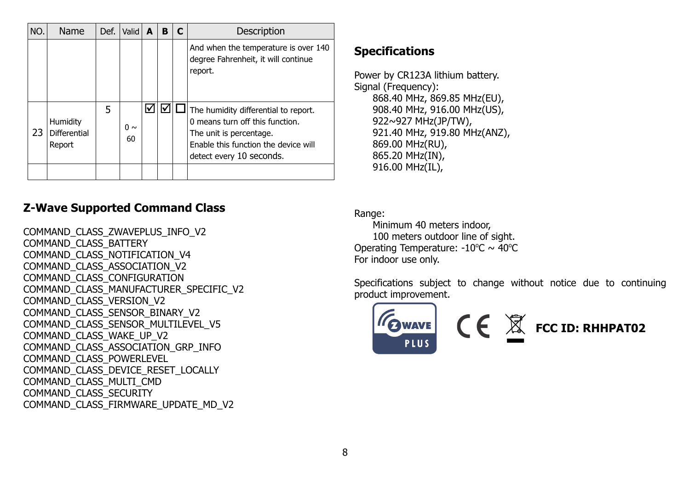| NO. | <b>Name</b>                        | Def. | Valid          | A | B | C | Description                                                                                                                                                            |
|-----|------------------------------------|------|----------------|---|---|---|------------------------------------------------------------------------------------------------------------------------------------------------------------------------|
|     |                                    |      |                |   |   |   | And when the temperature is over 140<br>degree Fahrenheit, it will continue<br>report.                                                                                 |
| 23  | Humidity<br>Differential<br>Report | 5    | $0 \sim$<br>60 |   |   |   | The humidity differential to report.<br>0 means turn off this function.<br>The unit is percentage.<br>Enable this function the device will<br>detect every 10 seconds. |
|     |                                    |      |                |   |   |   |                                                                                                                                                                        |

# **Z-Wave Supported Command Class**

COMMAND\_CLASS\_ZWAVEPLUS\_INFO\_V2 COMMAND\_CLASS\_BATTERY COMMAND\_CLASS\_NOTIFICATION\_V4 COMMAND\_CLASS\_ASSOCIATION\_V2 COMMAND\_CLASS\_CONFIGURATION COMMAND\_CLASS\_MANUFACTURER\_SPECIFIC\_V2 COMMAND\_CLASS\_VERSION\_V2 COMMAND\_CLASS\_SENSOR\_BINARY\_V2 COMMAND\_CLASS\_SENSOR\_MULTILEVEL\_V5 COMMAND\_CLASS\_WAKE\_UP\_V2 COMMAND\_CLASS\_ASSOCIATION\_GRP\_INFO COMMAND\_CLASS\_POWERLEVEL COMMAND\_CLASS\_DEVICE\_RESET\_LOCALLY COMMAND\_CLASS\_MULTI\_CMD COMMAND\_CLASS\_SECURITY COMMAND\_CLASS\_FIRMWARE\_UPDATE\_MD\_V2

# **Specifications**

Power by CR123A lithium battery. Signal (Frequency): 868.40 MHz, 869.85 MHz(EU), 908.40 MHz, 916.00 MHz(US), 922~927 MHz(JP/TW), 921.40 MHz, 919.80 MHz(ANZ), 869.00 MHz(RU), 865.20 MHz(IN), 916.00 MHz(IL),

Range:

Minimum 40 meters indoor, 100 meters outdoor line of sight. Operating Temperature:  $-10^{\circ}C \sim 40^{\circ}C$ For indoor use only.

Specifications subject to change without notice due to continuing product improvement.